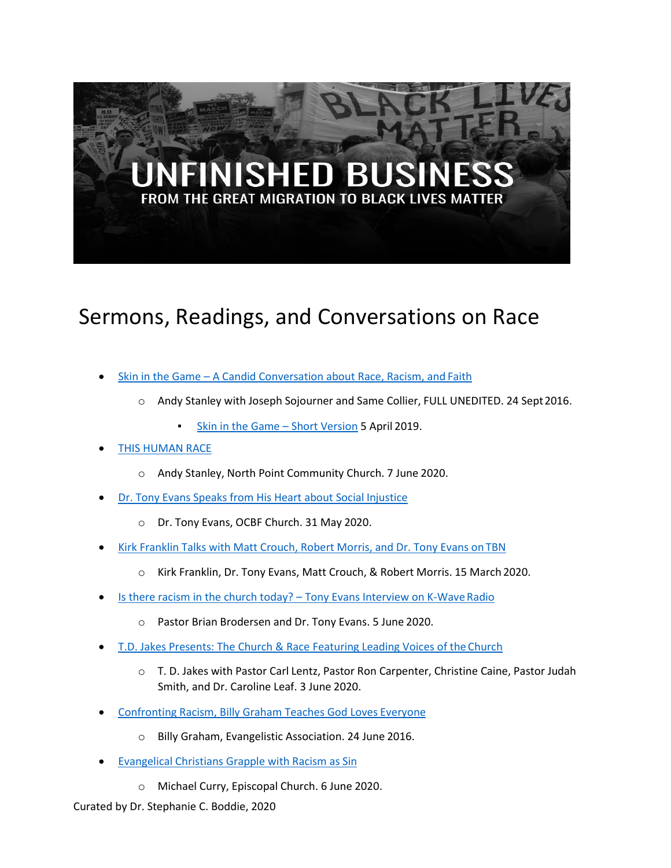## SHED BUS THE GREAT MIGRATION TO BLACK LIVES MATTER

## Sermons, Readings, and Conversations on Race

- Skin in the Game A Candid Conversation about Race, Racism, and Faith
	- o Andy Stanley with Joseph Sojourner and Same Collier, FULL UNEDITED. 24 Sept2016.
		- **Skin in the Game Short Version 5 April 2019.**
- **THIS HUMAN RACE** 
	- o Andy Stanley, North Point Community Church. 7 June 2020.
- Dr. Tony Evans Speaks from His Heart about Social Injustice
	- o Dr. Tony Evans, OCBF Church. 31 May 2020.
- Kirk Franklin Talks with Matt Crouch, Robert Morris, and Dr. Tony Evans on TBN
	- o Kirk Franklin, Dr. Tony Evans, Matt Crouch, & Robert Morris. 15 March 2020.
- Is there racism in the church today? Tony Evans Interview on K-Wave Radio
	- o Pastor Brian Brodersen and Dr. Tony Evans. 5 June 2020.
- T.D. Jakes Presents: The Church & Race Featuring Leading Voices of the Church
	- o T. D. Jakes with Pastor Carl Lentz, Pastor Ron Carpenter, Christine Caine, Pastor Judah Smith, and Dr. Caroline Leaf. 3 June 2020.
- Confronting Racism, Billy Graham Teaches God Loves Everyone
	- o Billy Graham, Evangelistic Association. 24 June 2016.
- **Evangelical Christians Grapple with Racism as Sin** 
	- o Michael Curry, Episcopal Church. 6 June 2020.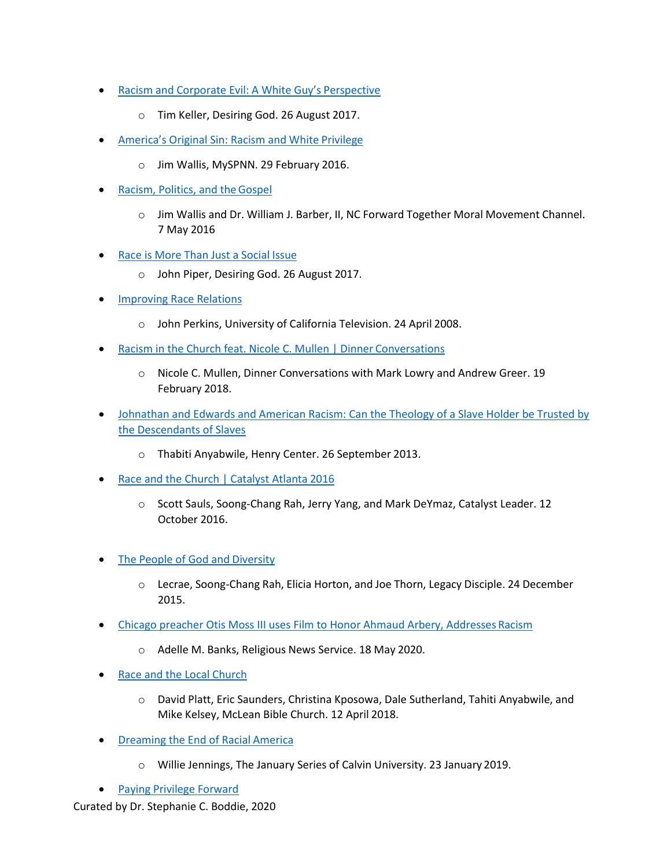- Racism and Corporate Evil: A White Guy's Perspective
	- o Tim Keller, Desiring God. 26 August 2017.
- America's Original Sin: Racism and White Privilege
	- o Jim Wallis, MySPNN. 29 February 2016.
- Racism, Politics, and theGospel
	- o Jim Wallis and Dr. William J. Barber, II, NC Forward Together Moral Movement Channel. 7 May 2016
- Race is More Than Just a Social Issue
	- o John Piper, Desiring God. 26 August 2017.
- **Improving Race Relations** 
	- o John Perkins, University of California Television. 24 April 2008.
- **Racism in the Church feat. Nicole C. Mullen | Dinner Conversations** 
	- o Nicole C. Mullen, Dinner Conversations with Mark Lowry and Andrew Greer. 19 February 2018.
- Johnathan and Edwards and American Racism: Can the Theology of a Slave Holder be Trusted by the Descendants of Slaves
	- o Thabiti Anyabwile, Henry Center. 26 September 2013.
- Race and the Church | Catalyst Atlanta 2016
	- o Scott Sauls, Soong-Chang Rah, Jerry Yang, and Mark DeYmaz, Catalyst Leader. 12 October 2016.
- **The People of God and Diversity** 
	- o Lecrae, Soong-Chang Rah, Elicia Horton, and Joe Thorn, Legacy Disciple. 24 December 2015.
- Chicago preacher Otis Moss III uses Film to Honor Ahmaud Arbery, Addresses Racism
	- o Adelle M. Banks, Religious News Service. 18 May 2020.
- **Race and the Local Church** 
	- o David Platt, Eric Saunders, Christina Kposowa, Dale Sutherland, Tahiti Anyabwile, and Mike Kelsey, McLean Bible Church. 12 April 2018.
- **Dreaming the End of Racial America** 
	- o Willie Jennings, The January Series of Calvin University. 23 January 2019.
- Paying Privilege Forward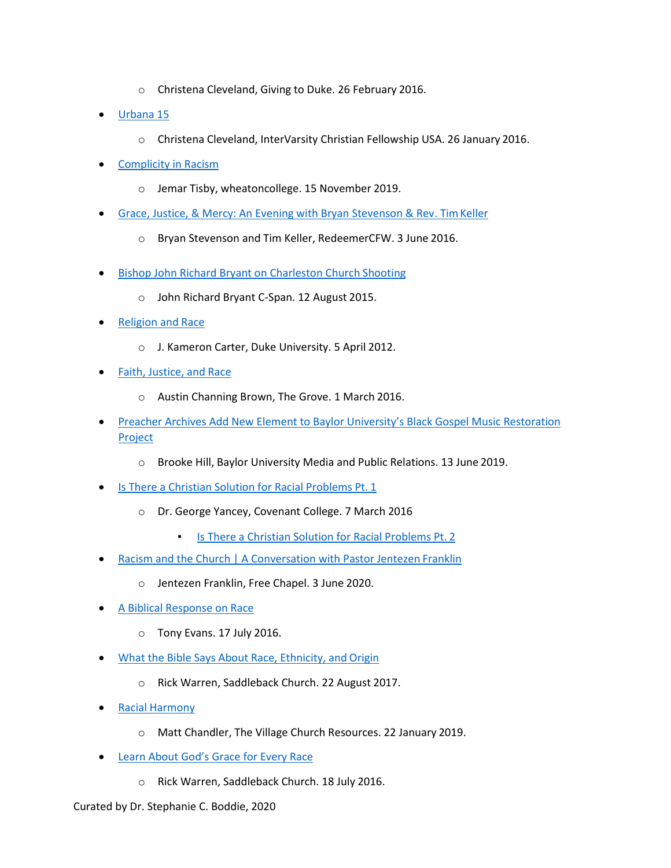- o Christena Cleveland, Giving to Duke. 26 February 2016.
- Urbana 15
	- o Christena Cleveland, InterVarsity Christian Fellowship USA. 26 January 2016.
- Complicity in Racism
	- o Jemar Tisby, wheatoncollege. 15 November 2019.
- Grace, Justice, & Mercy: An Evening with Bryan Stevenson & Rev. TimKeller
	- o Bryan Stevenson and Tim Keller, RedeemerCFW. 3 June 2016.
- Bishop John Richard Bryant on Charleston Church Shooting
	- o John Richard Bryant C-Span. 12 August 2015.
- Religion and Race
	- o J. Kameron Carter, Duke University. 5 April 2012.
- Faith, Justice, and Race
	- o Austin Channing Brown, The Grove. 1 March 2016.
- Preacher Archives Add New Element to Baylor University's Black Gospel Music Restoration Project
	- o Brooke Hill, Baylor University Media and Public Relations. 13 June 2019.
- **Is There a Christian Solution for Racial Problems Pt. 1** 
	- o Dr. George Yancey, Covenant College. 7 March 2016
		- Is There a Christian Solution for Racial Problems Pt. 2
- Racism and the Church | A Conversation with Pastor Jentezen Franklin
	- o Jentezen Franklin, Free Chapel. 3 June 2020.
- A Biblical Response on Race
	- o Tony Evans. 17 July 2016.
- What the Bible Says About Race, Ethnicity, and Origin
	- o Rick Warren, Saddleback Church. 22 August 2017.
- Racial Harmony
	- o Matt Chandler, The Village Church Resources. 22 January 2019.
- Learn About God's Grace for Every Race
	- o Rick Warren, Saddleback Church. 18 July 2016.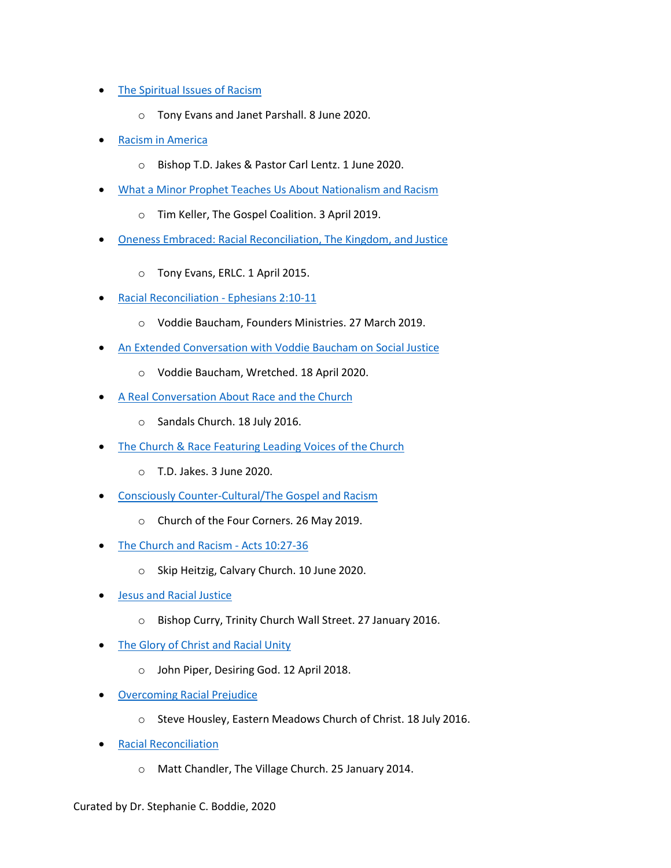- The Spiritual Issues of Racism
	- o Tony Evans and Janet Parshall. 8 June 2020.
- **Racism in America** 
	- o Bishop T.D. Jakes & Pastor Carl Lentz. 1 June 2020.
- What a Minor Prophet Teaches Us About Nationalism and Racism
	- o Tim Keller, The Gospel Coalition. 3 April 2019.
- Oneness Embraced: Racial Reconciliation, The Kingdom, and Justice
	- o Tony Evans, ERLC. 1 April 2015.
- Racial Reconciliation Ephesians 2:10-11
	- o Voddie Baucham, Founders Ministries. 27 March 2019.
- An Extended Conversation with Voddie Baucham on Social Justice
	- o Voddie Baucham, Wretched. 18 April 2020.
- A Real Conversation About Race and the Church
	- o Sandals Church. 18 July 2016.
- The Church & Race Featuring Leading Voices of the Church
	- o T.D. Jakes. 3 June 2020.
- Consciously Counter-Cultural/The Gospel and Racism
	- o Church of the Four Corners. 26 May 2019.
- The Church and Racism Acts 10:27-36
	- o Skip Heitzig, Calvary Church. 10 June 2020.
- Jesus and Racial Justice
	- o Bishop Curry, Trinity Church Wall Street. 27 January 2016.
- The Glory of Christ and Racial Unity
	- o John Piper, Desiring God. 12 April 2018.
- Overcoming Racial Prejudice
	- o Steve Housley, Eastern Meadows Church of Christ. 18 July 2016.
- Racial Reconciliation
	- o Matt Chandler, The Village Church. 25 January 2014.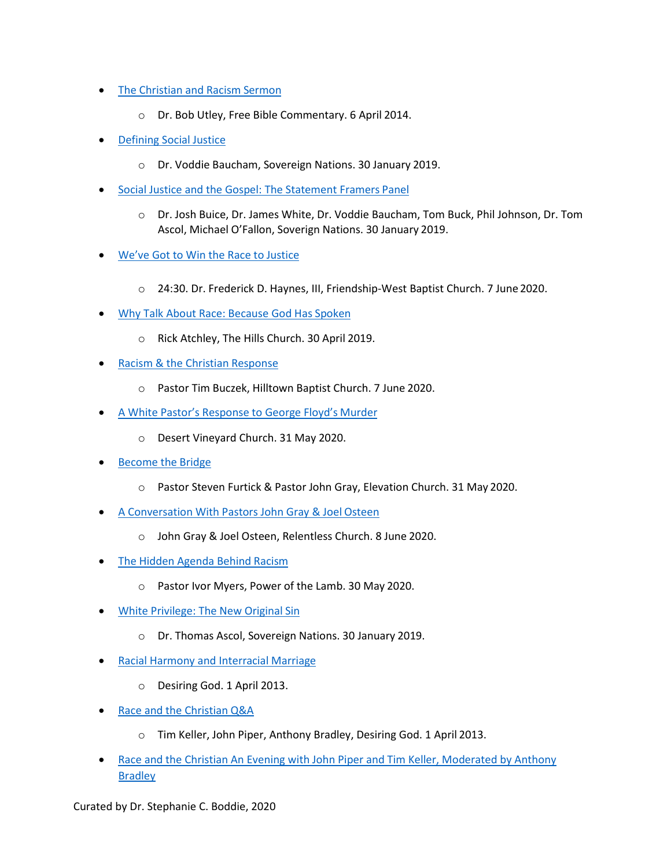- **The Christian and Racism Sermon** 
	- o Dr. Bob Utley, Free Bible Commentary. 6 April 2014.
- **Defining Social Justice** 
	- o Dr. Voddie Baucham, Sovereign Nations. 30 January 2019.
- Social Justice and the Gospel: The Statement Framers Panel
	- o Dr. Josh Buice, Dr. James White, Dr. Voddie Baucham, Tom Buck, Phil Johnson, Dr. Tom Ascol, Michael O'Fallon, Soverign Nations. 30 January 2019.
- We've Got to Win the Race to Justice
	- o 24:30. Dr. Frederick D. Haynes, III, Friendship-West Baptist Church. 7 June 2020.
- Why Talk About Race: Because God Has Spoken
	- o Rick Atchley, The Hills Church. 30 April 2019.
- Racism & the Christian Response
	- o Pastor Tim Buczek, Hilltown Baptist Church. 7 June 2020.
- A White Pastor's Response to George Floyd's Murder
	- o Desert Vineyard Church. 31 May 2020.
- **Become the Bridge** 
	- o Pastor Steven Furtick & Pastor John Gray, Elevation Church. 31 May 2020.
- A Conversation With Pastors John Gray & Joel Osteen
	- o John Gray & Joel Osteen, Relentless Church. 8 June 2020.
- The Hidden Agenda Behind Racism
	- o Pastor Ivor Myers, Power of the Lamb. 30 May 2020.
- White Privilege: The New Original Sin
	- o Dr. Thomas Ascol, Sovereign Nations. 30 January 2019.
- Racial Harmony and Interracial Marriage
	- o Desiring God. 1 April 2013.
- Race and the Christian Q&A
	- o Tim Keller, John Piper, Anthony Bradley, Desiring God. 1 April 2013.
- Race and the Christian An Evening with John Piper and Tim Keller, Moderated by Anthony **Bradley**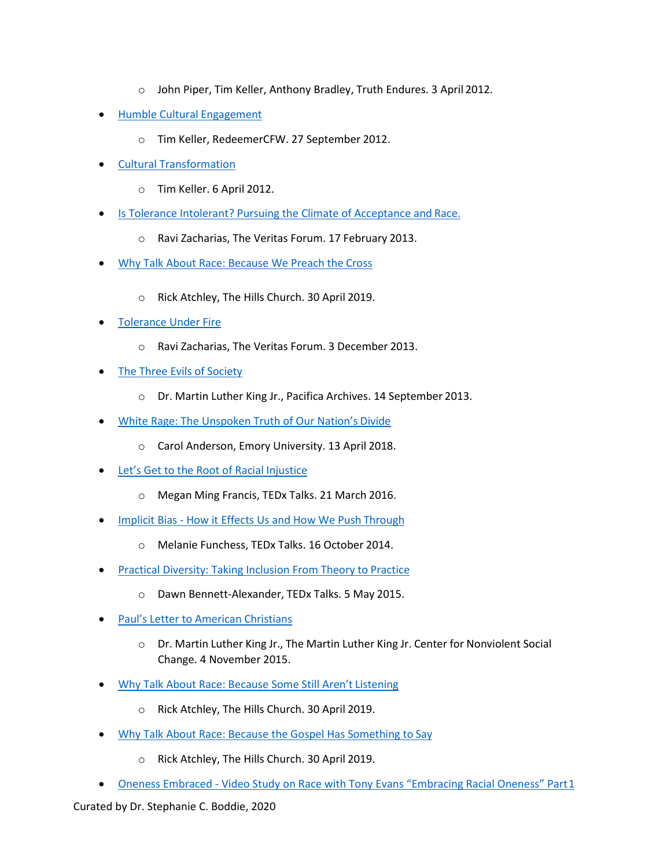- o John Piper, Tim Keller, Anthony Bradley, Truth Endures. 3 April 2012.
- Humble Cultural Engagement
	- o Tim Keller, RedeemerCFW. 27 September 2012.
- Cultural Transformation
	- o Tim Keller. 6 April 2012.
- Is Tolerance Intolerant? Pursuing the Climate of Acceptance and Race.
	- o Ravi Zacharias, The Veritas Forum. 17 February 2013.
- Why Talk About Race: Because We Preach the Cross
	- o Rick Atchley, The Hills Church. 30 April 2019.
- Tolerance Under Fire
	- o Ravi Zacharias, The Veritas Forum. 3 December 2013.
- **The Three Evils of Society** 
	- o Dr. Martin Luther King Jr., Pacifica Archives. 14 September 2013.
- White Rage: The Unspoken Truth of Our Nation's Divide
	- o Carol Anderson, Emory University. 13 April 2018.
- Let's Get to the Root of Racial Injustice
	- o Megan Ming Francis, TEDx Talks. 21 March 2016.
- Implicit Bias How it Effects Us and How We Push Through
	- o Melanie Funchess, TEDx Talks. 16 October 2014.
- Practical Diversity: Taking Inclusion From Theory to Practice
	- o Dawn Bennett-Alexander, TEDx Talks. 5 May 2015.
- Paul's Letter to American Christians
	- $\circ$  Dr. Martin Luther King Jr., The Martin Luther King Jr. Center for Nonviolent Social Change. 4 November 2015.
- Why Talk About Race: Because Some Still Aren't Listening
	- o Rick Atchley, The Hills Church. 30 April 2019.
- Why Talk About Race: Because the Gospel Has Something to Say
	- o Rick Atchley, The Hills Church. 30 April 2019.
- Oneness Embraced Video Study on Race with Tony Evans "Embracing Racial Oneness" Part1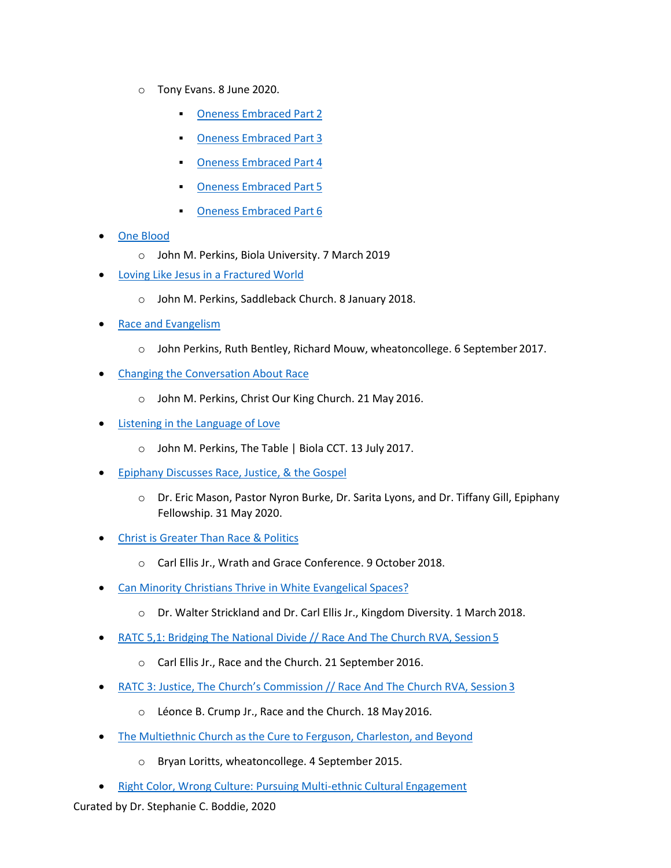- o Tony Evans. 8 June 2020.
	- **Oneness Embraced Part 2**
	- **Oneness Embraced Part 3**
	- **Oneness Embraced Part 4**
	- **Oneness Embraced Part 5**
	- **Oneness Embraced Part 6**
- One Blood
	- o John M. Perkins, Biola University. 7 March 2019
- Loving Like Jesus in a Fractured World
	- o John M. Perkins, Saddleback Church. 8 January 2018.
- **Race and Evangelism** 
	- o John Perkins, Ruth Bentley, Richard Mouw, wheatoncollege. 6 September 2017.
- **Changing the Conversation About Race** 
	- o John M. Perkins, Christ Our King Church. 21 May 2016.
- Listening in the Language of Love
	- o John M. Perkins, The Table | Biola CCT. 13 July 2017.
- Epiphany Discusses Race, Justice, & the Gospel
	- o Dr. Eric Mason, Pastor Nyron Burke, Dr. Sarita Lyons, and Dr. Tiffany Gill, Epiphany Fellowship. 31 May 2020.
- Christ is Greater Than Race & Politics
	- o Carl Ellis Jr., Wrath and Grace Conference. 9 October 2018.
- **Can Minority Christians Thrive in White Evangelical Spaces?** 
	- o Dr. Walter Strickland and Dr. Carl Ellis Jr., Kingdom Diversity. 1 March 2018.
- RATC 5,1: Bridging The National Divide // Race And The Church RVA, Session 5
	- o Carl Ellis Jr., Race and the Church. 21 September 2016.
- RATC 3: Justice, The Church's Commission // Race And The Church RVA, Session 3
	- o Léonce B. Crump Jr., Race and the Church. 18 May2016.
- The Multiethnic Church as the Cure to Ferguson, Charleston, and Beyond
	- o Bryan Loritts, wheatoncollege. 4 September 2015.
- Right Color, Wrong Culture: Pursuing Multi-ethnic Cultural Engagement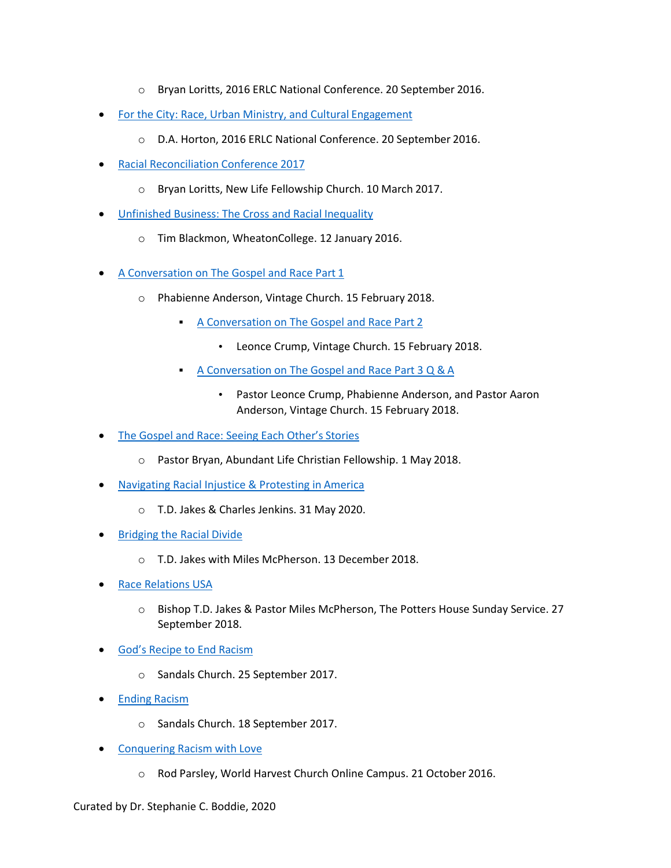- o Bryan Loritts, 2016 ERLC National Conference. 20 September 2016.
- For the City: Race, Urban Ministry, and Cultural Engagement
	- o D.A. Horton, 2016 ERLC National Conference. 20 September 2016.
- Racial Reconciliation Conference 2017
	- o Bryan Loritts, New Life Fellowship Church. 10 March 2017.
- Unfinished Business: The Cross and Racial Inequality
	- o Tim Blackmon, WheatonCollege. 12 January 2016.
- A Conversation on The Gospel and Race Part 1
	- o Phabienne Anderson, Vintage Church. 15 February 2018.
		- A Conversation on The Gospel and Race Part 2
			- Leonce Crump, Vintage Church. 15 February 2018.
		- A Conversation on The Gospel and Race Part 3 Q & A
			- Pastor Leonce Crump, Phabienne Anderson, and Pastor Aaron Anderson, Vintage Church. 15 February 2018.
- The Gospel and Race: Seeing Each Other's Stories
	- o Pastor Bryan, Abundant Life Christian Fellowship. 1 May 2018.
- Navigating Racial Injustice & Protesting in America
	- o T.D. Jakes & Charles Jenkins. 31 May 2020.
- **Bridging the Racial Divide** 
	- o T.D. Jakes with Miles McPherson. 13 December 2018.
- Race Relations USA
	- o Bishop T.D. Jakes & Pastor Miles McPherson, The Potters House Sunday Service. 27 September 2018.
- God's Recipe to End Racism
	- o Sandals Church. 25 September 2017.
- Ending Racism
	- o Sandals Church. 18 September 2017.
- Conquering Racism with Love
	- o Rod Parsley, World Harvest Church Online Campus. 21 October 2016.